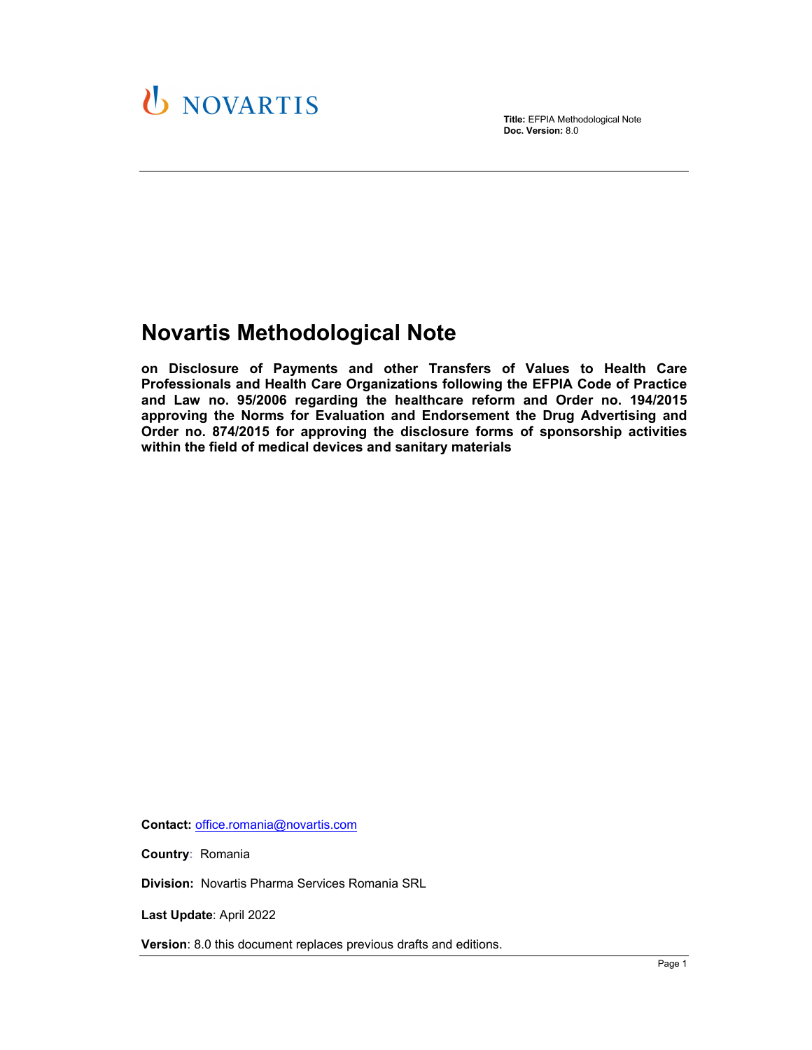

**Title:** EFPIA Methodological Note **Doc. Version:** 8.0

# **Novartis Methodological Note**

**on Disclosure of Payments and other Transfers of Values to Health Care Professionals and Health Care Organizations following the EFPIA Code of Practice and Law no. 95/2006 regarding the healthcare reform and Order no. 194/2015 approving the Norms for Evaluation and Endorsement the Drug Advertising and Order no. 874/2015 for approving the disclosure forms of sponsorship activities within the field of medical devices and sanitary materials**

**Contact:** office.romania@novartis.com

**Country:** Romania

**Division:** Novartis Pharma Services Romania SRL

**Last Update**: April 2022

**Version**: 8.0 this document replaces previous drafts and editions.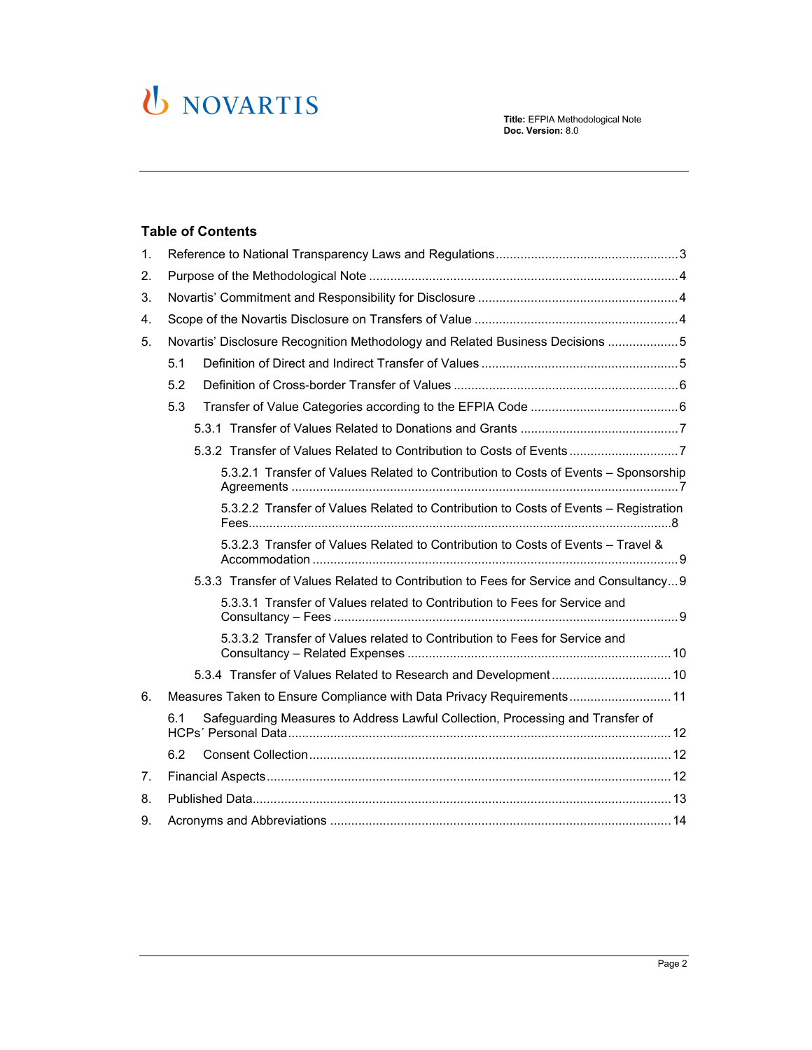# U NOVARTIS

### **Table of Contents**

| 1. |                                                                                       |
|----|---------------------------------------------------------------------------------------|
| 2. |                                                                                       |
| 3. |                                                                                       |
| 4. |                                                                                       |
| 5. | Novartis' Disclosure Recognition Methodology and Related Business Decisions 5         |
|    | 5.1                                                                                   |
|    | 5.2                                                                                   |
|    | 5.3                                                                                   |
|    |                                                                                       |
|    | 5.3.2 Transfer of Values Related to Contribution to Costs of Events7                  |
|    | 5.3.2.1 Transfer of Values Related to Contribution to Costs of Events - Sponsorship   |
|    | 5.3.2.2 Transfer of Values Related to Contribution to Costs of Events - Registration  |
|    | 5.3.2.3 Transfer of Values Related to Contribution to Costs of Events - Travel &      |
|    | 5.3.3 Transfer of Values Related to Contribution to Fees for Service and Consultancy9 |
|    | 5.3.3.1 Transfer of Values related to Contribution to Fees for Service and            |
|    | 5.3.3.2 Transfer of Values related to Contribution to Fees for Service and            |
|    |                                                                                       |
| 6. | Measures Taken to Ensure Compliance with Data Privacy Requirements 11                 |
|    | Safeguarding Measures to Address Lawful Collection, Processing and Transfer of<br>6.1 |
|    | 6.2                                                                                   |
| 7. |                                                                                       |
| 8. |                                                                                       |
| 9. |                                                                                       |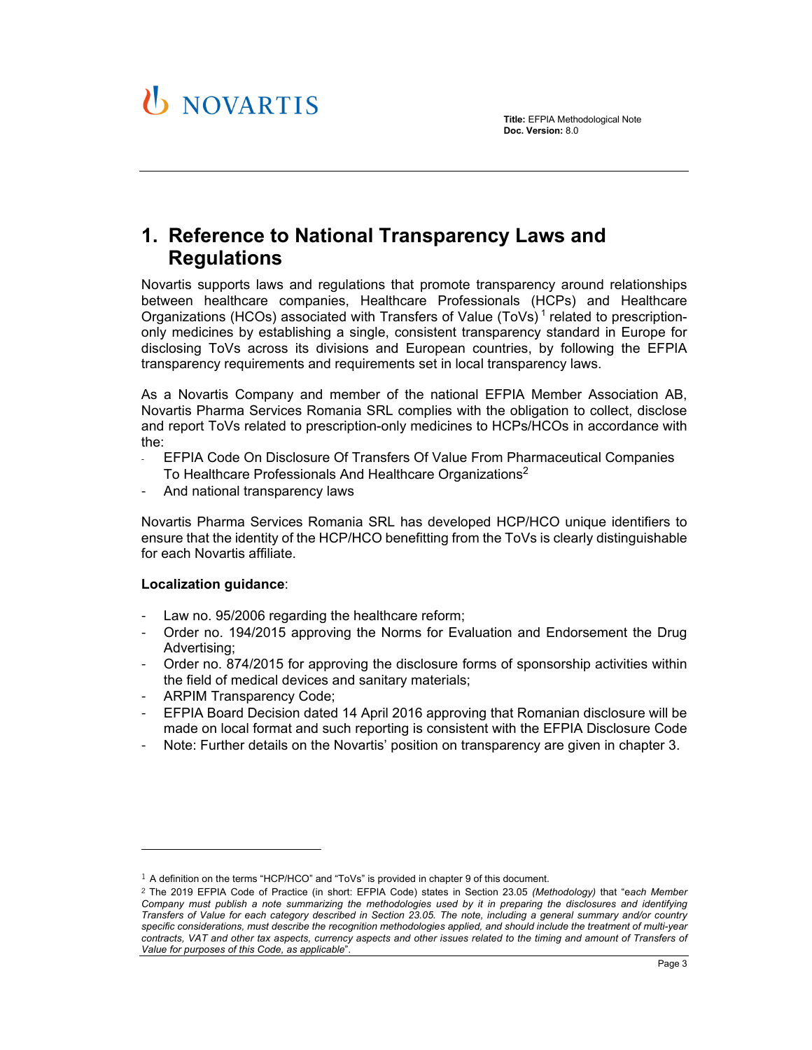

## **1. Reference to National Transparency Laws and Regulations**

Novartis supports laws and regulations that promote transparency around relationships between healthcare companies, Healthcare Professionals (HCPs) and Healthcare Organizations (HCOs) associated with Transfers of Value (ToVs)<sup>1</sup> related to prescriptiononly medicines by establishing a single, consistent transparency standard in Europe for disclosing ToVs across its divisions and European countries, by following the EFPIA transparency requirements and requirements set in local transparency laws.

As a Novartis Company and member of the national EFPIA Member Association AB, Novartis Pharma Services Romania SRL complies with the obligation to collect, disclose and report ToVs related to prescription-only medicines to HCPs/HCOs in accordance with the:

- EFPIA Code On Disclosure Of Transfers Of Value From Pharmaceutical Companies To Healthcare Professionals And Healthcare Organizations<sup>2</sup>
- And national transparency laws

Novartis Pharma Services Romania SRL has developed HCP/HCO unique identifiers to ensure that the identity of the HCP/HCO benefitting from the ToVs is clearly distinguishable for each Novartis affiliate.

### **Localization guidance**:

- Law no. 95/2006 regarding the healthcare reform;
- Order no. 194/2015 approving the Norms for Evaluation and Endorsement the Drug Advertising;
- Order no. 874/2015 for approving the disclosure forms of sponsorship activities within the field of medical devices and sanitary materials;
- ARPIM Transparency Code;

l

- EFPIA Board Decision dated 14 April 2016 approving that Romanian disclosure will be made on local format and such reporting is consistent with the EFPIA Disclosure Code
- Note: Further details on the Novartis' position on transparency are given in chapter 3.

<sup>1</sup> A definition on the terms "HCP/HCO" and "ToVs" is provided in chapter 9 of this document.

<sup>2</sup> The 2019 EFPIA Code of Practice (in short: EFPIA Code) states in Section 23.05 *(Methodology)* that "e*ach Member Company must publish a note summarizing the methodologies used by it in preparing the disclosures and identifying Transfers of Value for each category described in Section 23.05. The note, including a general summary and/or country specific considerations, must describe the recognition methodologies applied, and should include the treatment of multi-year contracts, VAT and other tax aspects, currency aspects and other issues related to the timing and amount of Transfers of Value for purposes of this Code, as applicable*".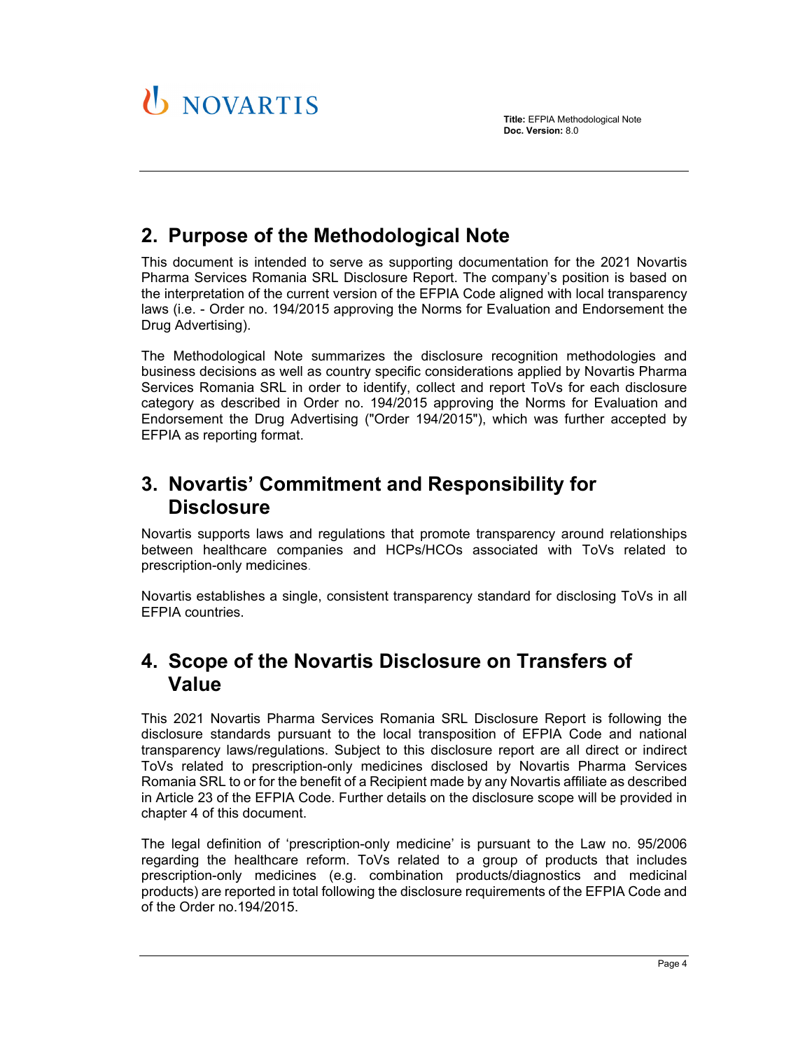

# **2. Purpose of the Methodological Note**

This document is intended to serve as supporting documentation for the 2021 Novartis Pharma Services Romania SRL Disclosure Report. The company's position is based on the interpretation of the current version of the EFPIA Code aligned with local transparency laws (i.e. - Order no. 194/2015 approving the Norms for Evaluation and Endorsement the Drug Advertising).

The Methodological Note summarizes the disclosure recognition methodologies and business decisions as well as country specific considerations applied by Novartis Pharma Services Romania SRL in order to identify, collect and report ToVs for each disclosure category as described in Order no. 194/2015 approving the Norms for Evaluation and Endorsement the Drug Advertising ("Order 194/2015"), which was further accepted by EFPIA as reporting format.

# **3. Novartis' Commitment and Responsibility for Disclosure**

Novartis supports laws and regulations that promote transparency around relationships between healthcare companies and HCPs/HCOs associated with ToVs related to prescription-only medicines.

Novartis establishes a single, consistent transparency standard for disclosing ToVs in all EFPIA countries.

# **4. Scope of the Novartis Disclosure on Transfers of Value**

This 2021 Novartis Pharma Services Romania SRL Disclosure Report is following the disclosure standards pursuant to the local transposition of EFPIA Code and national transparency laws/regulations. Subject to this disclosure report are all direct or indirect ToVs related to prescription-only medicines disclosed by Novartis Pharma Services Romania SRL to or for the benefit of a Recipient made by any Novartis affiliate as described in Article 23 of the EFPIA Code. Further details on the disclosure scope will be provided in chapter 4 of this document.

The legal definition of 'prescription-only medicine' is pursuant to the Law no. 95/2006 regarding the healthcare reform. ToVs related to a group of products that includes prescription-only medicines (e.g. combination products/diagnostics and medicinal products) are reported in total following the disclosure requirements of the EFPIA Code and of the Order no.194/2015.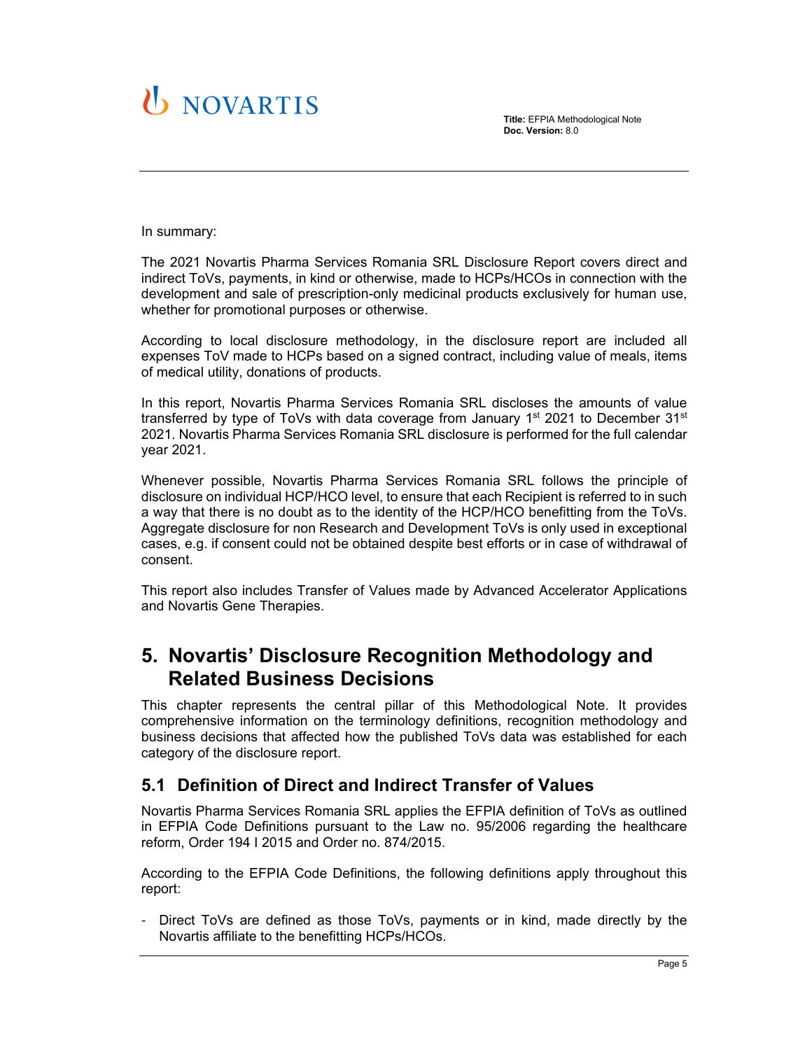# **U** NOVARTIS

**Title:** EFPIA Methodological Note **Doc. Version:** 8.0

In summary:

The 2021 Novartis Pharma Services Romania SRL Disclosure Report covers direct and indirect ToVs, payments, in kind or otherwise, made to HCPs/HCOs in connection with the development and sale of prescription-only medicinal products exclusively for human use, whether for promotional purposes or otherwise.

According to local disclosure methodology, in the disclosure report are included all expenses ToV made to HCPs based on a signed contract, including value of meals, items of medical utility, donations of products.

In this report, Novartis Pharma Services Romania SRL discloses the amounts of value transferred by type of ToVs with data coverage from January  $1<sup>st</sup>$  2021 to December 31 $<sup>st</sup>$ </sup> 2021. Novartis Pharma Services Romania SRL disclosure is performed for the full calendar year 2021.

Whenever possible, Novartis Pharma Services Romania SRL follows the principle of disclosure on individual HCP/HCO level, to ensure that each Recipient is referred to in such a way that there is no doubt as to the identity of the HCP/HCO benefitting from the ToVs. Aggregate disclosure for non Research and Development ToVs is only used in exceptional cases, e.g. if consent could not be obtained despite best efforts or in case of withdrawal of consent.

This report also includes Transfer of Values made by Advanced Accelerator Applications and Novartis Gene Therapies.

## **5. Novartis' Disclosure Recognition Methodology and Related Business Decisions**

This chapter represents the central pillar of this Methodological Note. It provides comprehensive information on the terminology definitions, recognition methodology and business decisions that affected how the published ToVs data was established for each category of the disclosure report.

### **5.1 Definition of Direct and Indirect Transfer of Values**

Novartis Pharma Services Romania SRL applies the EFPIA definition of ToVs as outlined in EFPIA Code Definitions pursuant to the Law no. 95/2006 regarding the healthcare reform, Order 194 I 2015 and Order no. 874/2015.

According to the EFPIA Code Definitions, the following definitions apply throughout this report:

Direct ToVs are defined as those ToVs, payments or in kind, made directly by the Novartis affiliate to the benefitting HCPs/HCOs.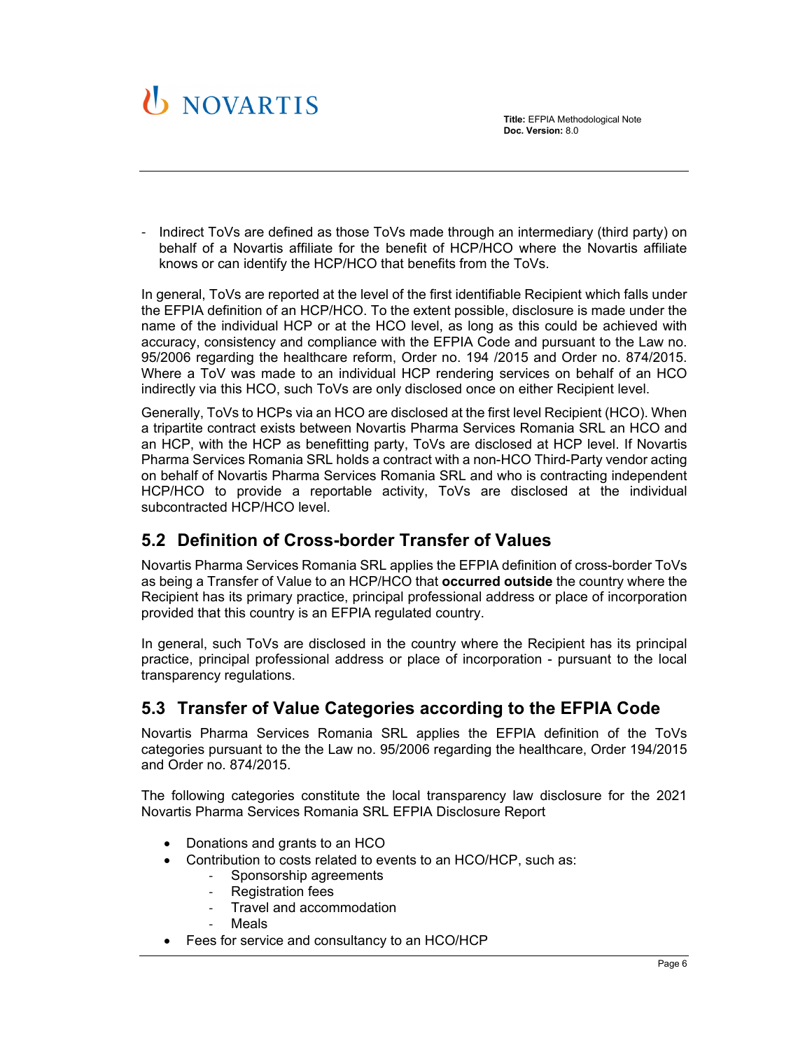

- Indirect ToVs are defined as those ToVs made through an intermediary (third party) on behalf of a Novartis affiliate for the benefit of HCP/HCO where the Novartis affiliate knows or can identify the HCP/HCO that benefits from the ToVs.

In general, ToVs are reported at the level of the first identifiable Recipient which falls under the EFPIA definition of an HCP/HCO. To the extent possible, disclosure is made under the name of the individual HCP or at the HCO level, as long as this could be achieved with accuracy, consistency and compliance with the EFPIA Code and pursuant to the Law no. 95/2006 regarding the healthcare reform, Order no. 194 /2015 and Order no. 874/2015. Where a ToV was made to an individual HCP rendering services on behalf of an HCO indirectly via this HCO, such ToVs are only disclosed once on either Recipient level.

Generally, ToVs to HCPs via an HCO are disclosed at the first level Recipient (HCO). When a tripartite contract exists between Novartis Pharma Services Romania SRL an HCO and an HCP, with the HCP as benefitting party, ToVs are disclosed at HCP level. If Novartis Pharma Services Romania SRL holds a contract with a non-HCO Third-Party vendor acting on behalf of Novartis Pharma Services Romania SRL and who is contracting independent HCP/HCO to provide a reportable activity, ToVs are disclosed at the individual subcontracted HCP/HCO level.

## **5.2 Definition of Cross-border Transfer of Values**

Novartis Pharma Services Romania SRL applies the EFPIA definition of cross-border ToVs as being a Transfer of Value to an HCP/HCO that **occurred outside** the country where the Recipient has its primary practice, principal professional address or place of incorporation provided that this country is an EFPIA regulated country.

In general, such ToVs are disclosed in the country where the Recipient has its principal practice, principal professional address or place of incorporation - pursuant to the local transparency regulations.

## **5.3 Transfer of Value Categories according to the EFPIA Code**

Novartis Pharma Services Romania SRL applies the EFPIA definition of the ToVs categories pursuant to the the Law no. 95/2006 regarding the healthcare, Order 194/2015 and Order no. 874/2015.

The following categories constitute the local transparency law disclosure for the 2021 Novartis Pharma Services Romania SRL EFPIA Disclosure Report

- Donations and grants to an HCO
- Contribution to costs related to events to an HCO/HCP, such as:
	- Sponsorship agreements
	- ‐ Registration fees
	- ‐ Travel and accommodation
	- ‐ Meals
- Fees for service and consultancy to an HCO/HCP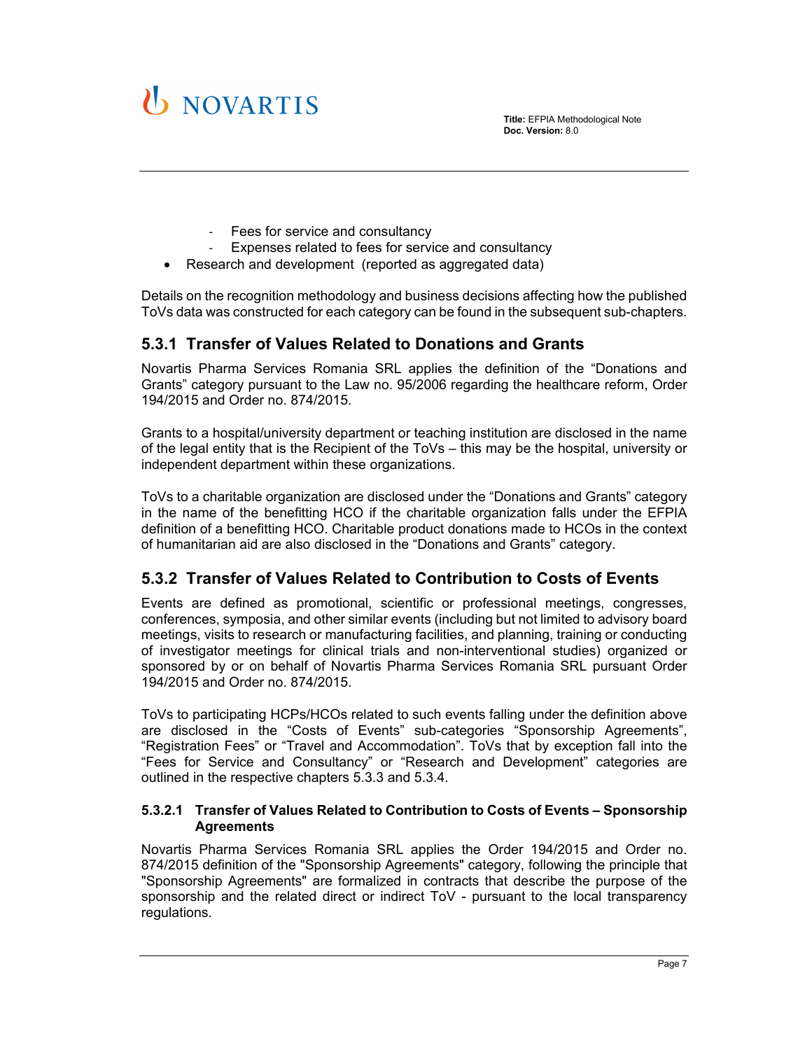

- ‐ Fees for service and consultancy
- ‐ Expenses related to fees for service and consultancy
- Research and development (reported as aggregated data)

Details on the recognition methodology and business decisions affecting how the published ToVs data was constructed for each category can be found in the subsequent sub-chapters.

## **5.3.1 Transfer of Values Related to Donations and Grants**

Novartis Pharma Services Romania SRL applies the definition of the "Donations and Grants" category pursuant to the Law no. 95/2006 regarding the healthcare reform, Order 194/2015 and Order no. 874/2015.

Grants to a hospital/university department or teaching institution are disclosed in the name of the legal entity that is the Recipient of the ToVs – this may be the hospital, university or independent department within these organizations.

ToVs to a charitable organization are disclosed under the "Donations and Grants" category in the name of the benefitting HCO if the charitable organization falls under the EFPIA definition of a benefitting HCO. Charitable product donations made to HCOs in the context of humanitarian aid are also disclosed in the "Donations and Grants" category.

### **5.3.2 Transfer of Values Related to Contribution to Costs of Events**

Events are defined as promotional, scientific or professional meetings, congresses, conferences, symposia, and other similar events (including but not limited to advisory board meetings, visits to research or manufacturing facilities, and planning, training or conducting of investigator meetings for clinical trials and non-interventional studies) organized or sponsored by or on behalf of Novartis Pharma Services Romania SRL pursuant Order 194/2015 and Order no. 874/2015.

ToVs to participating HCPs/HCOs related to such events falling under the definition above are disclosed in the "Costs of Events" sub-categories "Sponsorship Agreements", "Registration Fees" or "Travel and Accommodation". ToVs that by exception fall into the "Fees for Service and Consultancy" or "Research and Development" categories are outlined in the respective chapters 5.3.3 and 5.3.4.

#### **5.3.2.1 Transfer of Values Related to Contribution to Costs of Events – Sponsorship Agreements**

Novartis Pharma Services Romania SRL applies the Order 194/2015 and Order no. 874/2015 definition of the "Sponsorship Agreements" category, following the principle that "Sponsorship Agreements" are formalized in contracts that describe the purpose of the sponsorship and the related direct or indirect ToV - pursuant to the local transparency regulations.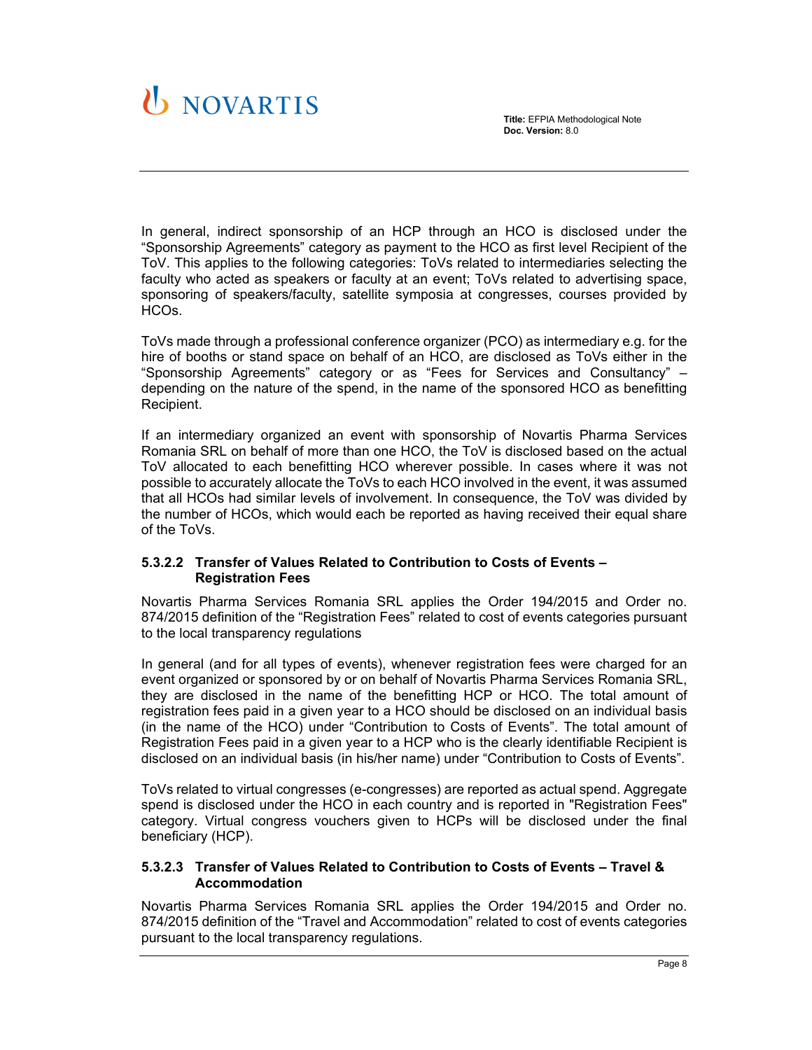**Title:** EFPIA Methodological Note **Doc. Version:** 8.0

# **D NOVARTIS**

In general, indirect sponsorship of an HCP through an HCO is disclosed under the "Sponsorship Agreements" category as payment to the HCO as first level Recipient of the ToV. This applies to the following categories: ToVs related to intermediaries selecting the faculty who acted as speakers or faculty at an event; ToVs related to advertising space, sponsoring of speakers/faculty, satellite symposia at congresses, courses provided by HCOs.

ToVs made through a professional conference organizer (PCO) as intermediary e.g. for the hire of booths or stand space on behalf of an HCO, are disclosed as ToVs either in the "Sponsorship Agreements" category or as "Fees for Services and Consultancy" – depending on the nature of the spend, in the name of the sponsored HCO as benefitting Recipient.

If an intermediary organized an event with sponsorship of Novartis Pharma Services Romania SRL on behalf of more than one HCO, the ToV is disclosed based on the actual ToV allocated to each benefitting HCO wherever possible. In cases where it was not possible to accurately allocate the ToVs to each HCO involved in the event, it was assumed that all HCOs had similar levels of involvement. In consequence, the ToV was divided by the number of HCOs, which would each be reported as having received their equal share of the ToVs.

### **5.3.2.2 Transfer of Values Related to Contribution to Costs of Events – Registration Fees**

Novartis Pharma Services Romania SRL applies the Order 194/2015 and Order no. 874/2015 definition of the "Registration Fees" related to cost of events categories pursuant to the local transparency regulations

In general (and for all types of events), whenever registration fees were charged for an event organized or sponsored by or on behalf of Novartis Pharma Services Romania SRL, they are disclosed in the name of the benefitting HCP or HCO. The total amount of registration fees paid in a given year to a HCO should be disclosed on an individual basis (in the name of the HCO) under "Contribution to Costs of Events". The total amount of Registration Fees paid in a given year to a HCP who is the clearly identifiable Recipient is disclosed on an individual basis (in his/her name) under "Contribution to Costs of Events".

ToVs related to virtual congresses (e-congresses) are reported as actual spend. Aggregate spend is disclosed under the HCO in each country and is reported in "Registration Fees" category. Virtual congress vouchers given to HCPs will be disclosed under the final beneficiary (HCP).

### **5.3.2.3 Transfer of Values Related to Contribution to Costs of Events – Travel & Accommodation**

Novartis Pharma Services Romania SRL applies the Order 194/2015 and Order no. 874/2015 definition of the "Travel and Accommodation" related to cost of events categories pursuant to the local transparency regulations.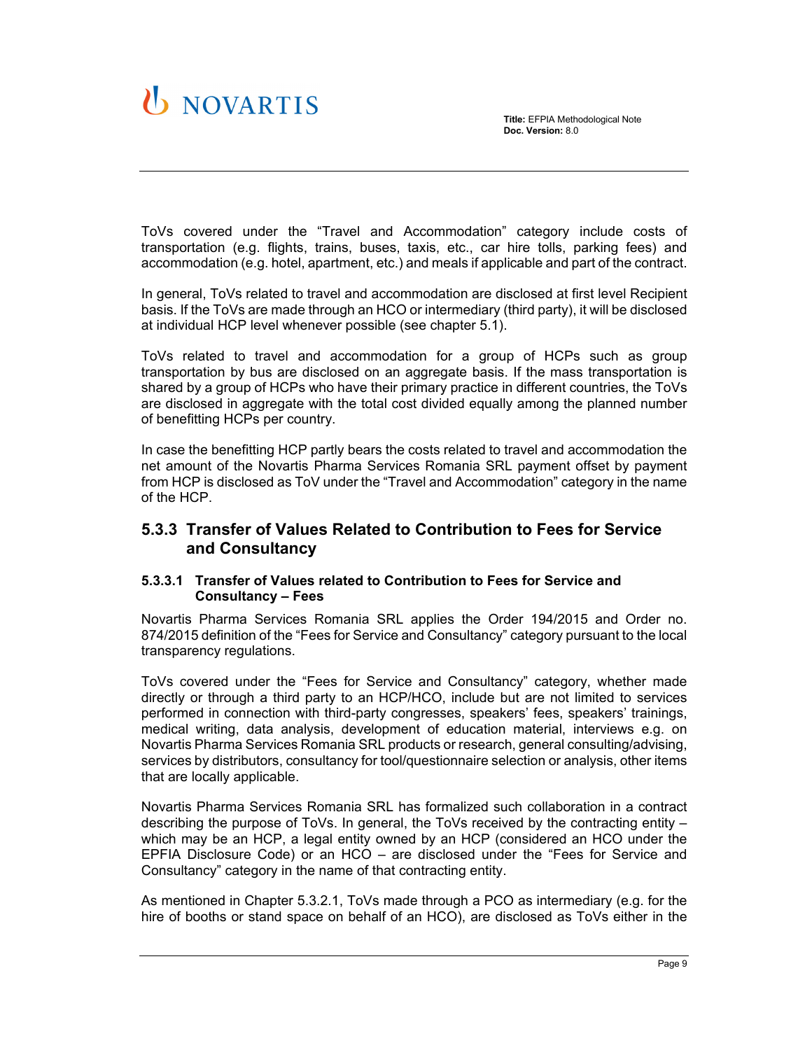

ToVs covered under the "Travel and Accommodation" category include costs of transportation (e.g. flights, trains, buses, taxis, etc., car hire tolls, parking fees) and accommodation (e.g. hotel, apartment, etc.) and meals if applicable and part of the contract.

In general, ToVs related to travel and accommodation are disclosed at first level Recipient basis. If the ToVs are made through an HCO or intermediary (third party), it will be disclosed at individual HCP level whenever possible (see chapter 5.1).

ToVs related to travel and accommodation for a group of HCPs such as group transportation by bus are disclosed on an aggregate basis. If the mass transportation is shared by a group of HCPs who have their primary practice in different countries, the ToVs are disclosed in aggregate with the total cost divided equally among the planned number of benefitting HCPs per country.

In case the benefitting HCP partly bears the costs related to travel and accommodation the net amount of the Novartis Pharma Services Romania SRL payment offset by payment from HCP is disclosed as ToV under the "Travel and Accommodation" category in the name of the HCP.

### **5.3.3 Transfer of Values Related to Contribution to Fees for Service and Consultancy**

#### **5.3.3.1 Transfer of Values related to Contribution to Fees for Service and Consultancy – Fees**

Novartis Pharma Services Romania SRL applies the Order 194/2015 and Order no. 874/2015 definition of the "Fees for Service and Consultancy" category pursuant to the local transparency regulations.

ToVs covered under the "Fees for Service and Consultancy" category, whether made directly or through a third party to an HCP/HCO, include but are not limited to services performed in connection with third-party congresses, speakers' fees, speakers' trainings, medical writing, data analysis, development of education material, interviews e.g. on Novartis Pharma Services Romania SRL products or research, general consulting/advising, services by distributors, consultancy for tool/questionnaire selection or analysis, other items that are locally applicable.

Novartis Pharma Services Romania SRL has formalized such collaboration in a contract describing the purpose of ToVs. In general, the ToVs received by the contracting entity – which may be an HCP, a legal entity owned by an HCP (considered an HCO under the EPFIA Disclosure Code) or an HCO – are disclosed under the "Fees for Service and Consultancy" category in the name of that contracting entity.

As mentioned in Chapter 5.3.2.1, ToVs made through a PCO as intermediary (e.g. for the hire of booths or stand space on behalf of an HCO), are disclosed as ToVs either in the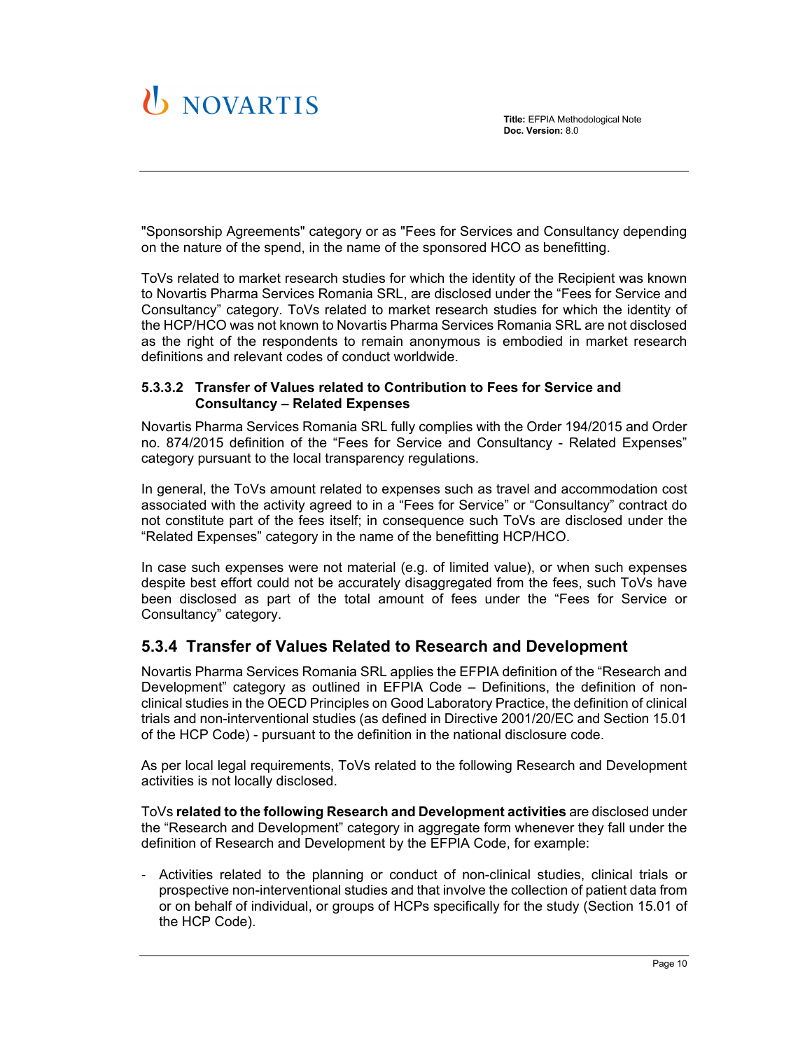

"Sponsorship Agreements" category or as "Fees for Services and Consultancy depending on the nature of the spend, in the name of the sponsored HCO as benefitting.

ToVs related to market research studies for which the identity of the Recipient was known to Novartis Pharma Services Romania SRL, are disclosed under the "Fees for Service and Consultancy" category. ToVs related to market research studies for which the identity of the HCP/HCO was not known to Novartis Pharma Services Romania SRL are not disclosed as the right of the respondents to remain anonymous is embodied in market research definitions and relevant codes of conduct worldwide.

#### **5.3.3.2 Transfer of Values related to Contribution to Fees for Service and Consultancy – Related Expenses**

Novartis Pharma Services Romania SRL fully complies with the Order 194/2015 and Order no. 874/2015 definition of the "Fees for Service and Consultancy - Related Expenses" category pursuant to the local transparency regulations.

In general, the ToVs amount related to expenses such as travel and accommodation cost associated with the activity agreed to in a "Fees for Service" or "Consultancy" contract do not constitute part of the fees itself; in consequence such ToVs are disclosed under the "Related Expenses" category in the name of the benefitting HCP/HCO.

In case such expenses were not material (e.g. of limited value), or when such expenses despite best effort could not be accurately disaggregated from the fees, such ToVs have been disclosed as part of the total amount of fees under the "Fees for Service or Consultancy" category.

### **5.3.4 Transfer of Values Related to Research and Development**

Novartis Pharma Services Romania SRL applies the EFPIA definition of the "Research and Development" category as outlined in EFPIA Code – Definitions, the definition of nonclinical studies in the OECD Principles on Good Laboratory Practice, the definition of clinical trials and non-interventional studies (as defined in Directive 2001/20/EC and Section 15.01 of the HCP Code) - pursuant to the definition in the national disclosure code.

As per local legal requirements, ToVs related to the following Research and Development activities is not locally disclosed.

ToVs **related to the following Research and Development activities** are disclosed under the "Research and Development" category in aggregate form whenever they fall under the definition of Research and Development by the EFPIA Code, for example:

- Activities related to the planning or conduct of non-clinical studies, clinical trials or prospective non-interventional studies and that involve the collection of patient data from or on behalf of individual, or groups of HCPs specifically for the study (Section 15.01 of the HCP Code).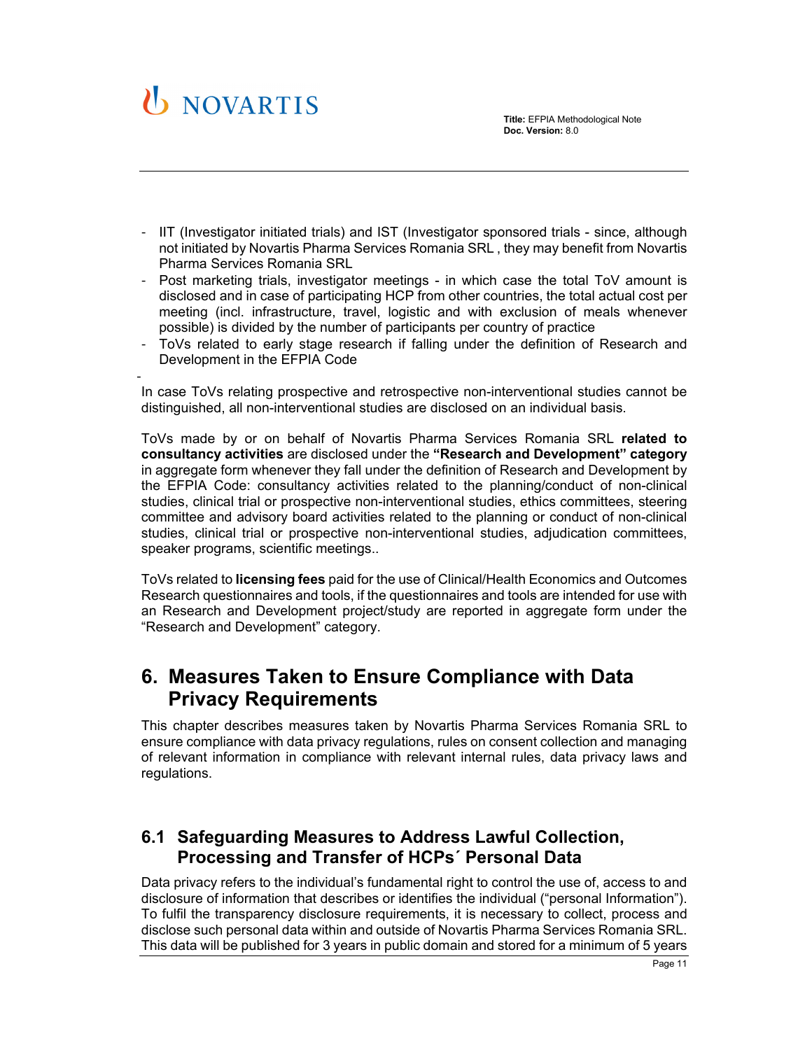

- IIT (Investigator initiated trials) and IST (Investigator sponsored trials since, although not initiated by Novartis Pharma Services Romania SRL , they may benefit from Novartis Pharma Services Romania SRL
- Post marketing trials, investigator meetings in which case the total ToV amount is disclosed and in case of participating HCP from other countries, the total actual cost per meeting (incl. infrastructure, travel, logistic and with exclusion of meals whenever possible) is divided by the number of participants per country of practice
- ToVs related to early stage research if falling under the definition of Research and Development in the EFPIA Code

- In case ToVs relating prospective and retrospective non-interventional studies cannot be distinguished, all non-interventional studies are disclosed on an individual basis.

ToVs made by or on behalf of Novartis Pharma Services Romania SRL **related to consultancy activities** are disclosed under the **"Research and Development" category** in aggregate form whenever they fall under the definition of Research and Development by the EFPIA Code: consultancy activities related to the planning/conduct of non-clinical studies, clinical trial or prospective non-interventional studies, ethics committees, steering committee and advisory board activities related to the planning or conduct of non-clinical studies, clinical trial or prospective non-interventional studies, adjudication committees, speaker programs, scientific meetings..

ToVs related to **licensing fees** paid for the use of Clinical/Health Economics and Outcomes Research questionnaires and tools, if the questionnaires and tools are intended for use with an Research and Development project/study are reported in aggregate form under the "Research and Development" category.

# **6. Measures Taken to Ensure Compliance with Data Privacy Requirements**

This chapter describes measures taken by Novartis Pharma Services Romania SRL to ensure compliance with data privacy regulations, rules on consent collection and managing of relevant information in compliance with relevant internal rules, data privacy laws and regulations.

## **6.1 Safeguarding Measures to Address Lawful Collection, Processing and Transfer of HCPs´ Personal Data**

Data privacy refers to the individual's fundamental right to control the use of, access to and disclosure of information that describes or identifies the individual ("personal Information"). To fulfil the transparency disclosure requirements, it is necessary to collect, process and disclose such personal data within and outside of Novartis Pharma Services Romania SRL. This data will be published for 3 years in public domain and stored for a minimum of 5 years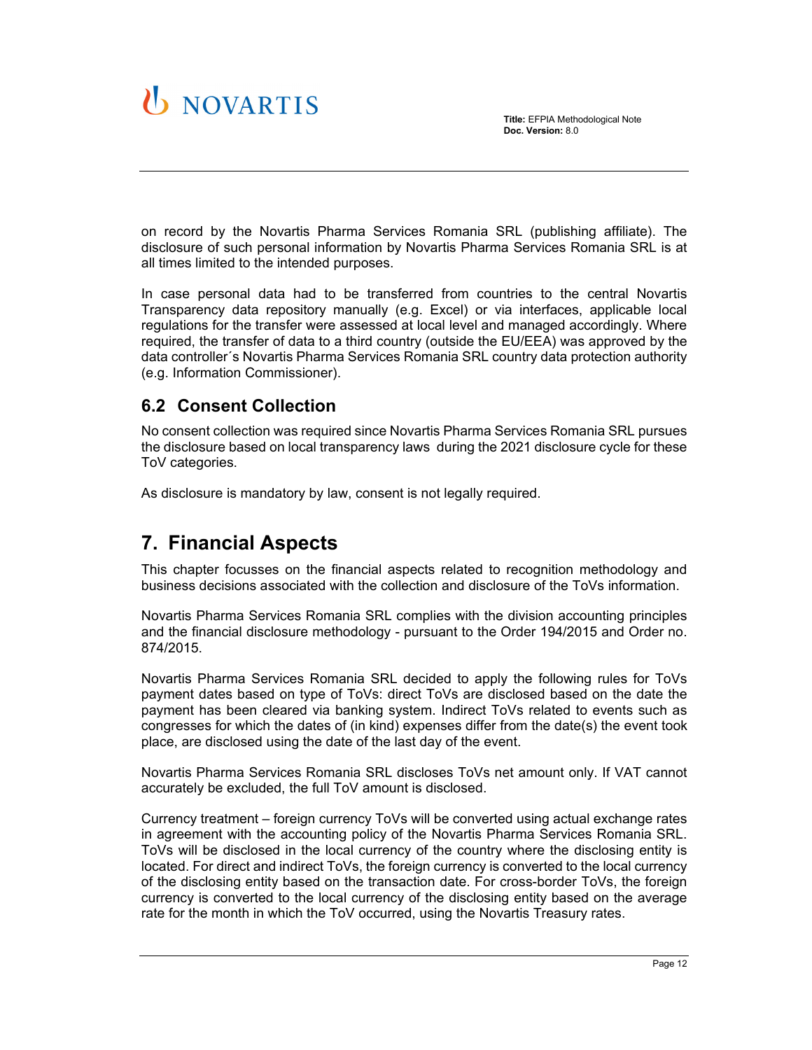



on record by the Novartis Pharma Services Romania SRL (publishing affiliate). The disclosure of such personal information by Novartis Pharma Services Romania SRL is at all times limited to the intended purposes.

In case personal data had to be transferred from countries to the central Novartis Transparency data repository manually (e.g. Excel) or via interfaces, applicable local regulations for the transfer were assessed at local level and managed accordingly. Where required, the transfer of data to a third country (outside the EU/EEA) was approved by the data controller´s Novartis Pharma Services Romania SRL country data protection authority (e.g. Information Commissioner).

## **6.2 Consent Collection**

No consent collection was required since Novartis Pharma Services Romania SRL pursues the disclosure based on local transparency laws during the 2021 disclosure cycle for these ToV categories.

As disclosure is mandatory by law, consent is not legally required.

# **7. Financial Aspects**

This chapter focusses on the financial aspects related to recognition methodology and business decisions associated with the collection and disclosure of the ToVs information.

Novartis Pharma Services Romania SRL complies with the division accounting principles and the financial disclosure methodology - pursuant to the Order 194/2015 and Order no. 874/2015.

Novartis Pharma Services Romania SRL decided to apply the following rules for ToVs payment dates based on type of ToVs: direct ToVs are disclosed based on the date the payment has been cleared via banking system. Indirect ToVs related to events such as congresses for which the dates of (in kind) expenses differ from the date(s) the event took place, are disclosed using the date of the last day of the event.

Novartis Pharma Services Romania SRL discloses ToVs net amount only. If VAT cannot accurately be excluded, the full ToV amount is disclosed.

Currency treatment – foreign currency ToVs will be converted using actual exchange rates in agreement with the accounting policy of the Novartis Pharma Services Romania SRL. ToVs will be disclosed in the local currency of the country where the disclosing entity is located. For direct and indirect ToVs, the foreign currency is converted to the local currency of the disclosing entity based on the transaction date. For cross-border ToVs, the foreign currency is converted to the local currency of the disclosing entity based on the average rate for the month in which the ToV occurred, using the Novartis Treasury rates.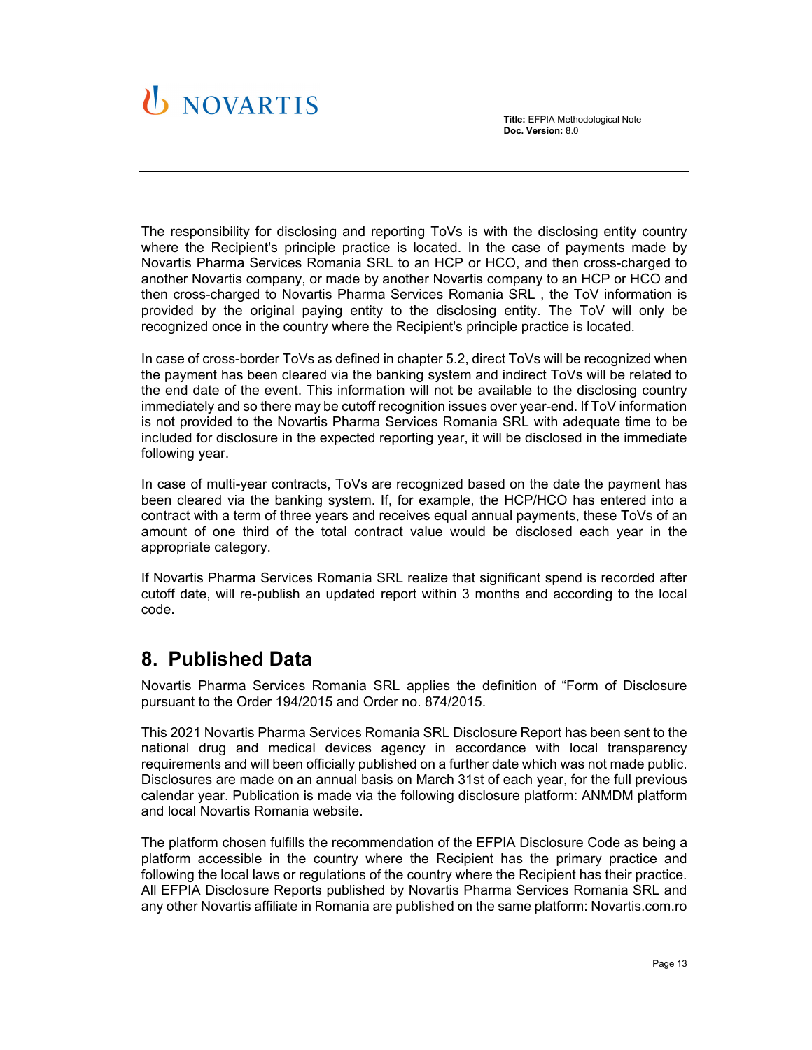# U NOVARTIS

**Title:** EFPIA Methodological Note **Doc. Version:** 8.0

The responsibility for disclosing and reporting ToVs is with the disclosing entity country where the Recipient's principle practice is located. In the case of payments made by Novartis Pharma Services Romania SRL to an HCP or HCO, and then cross-charged to another Novartis company, or made by another Novartis company to an HCP or HCO and then cross-charged to Novartis Pharma Services Romania SRL , the ToV information is provided by the original paying entity to the disclosing entity. The ToV will only be recognized once in the country where the Recipient's principle practice is located.

In case of cross-border ToVs as defined in chapter 5.2, direct ToVs will be recognized when the payment has been cleared via the banking system and indirect ToVs will be related to the end date of the event. This information will not be available to the disclosing country immediately and so there may be cutoff recognition issues over year-end. If ToV information is not provided to the Novartis Pharma Services Romania SRL with adequate time to be included for disclosure in the expected reporting year, it will be disclosed in the immediate following year.

In case of multi-year contracts, ToVs are recognized based on the date the payment has been cleared via the banking system. If, for example, the HCP/HCO has entered into a contract with a term of three years and receives equal annual payments, these ToVs of an amount of one third of the total contract value would be disclosed each year in the appropriate category.

If Novartis Pharma Services Romania SRL realize that significant spend is recorded after cutoff date, will re-publish an updated report within 3 months and according to the local code.

# **8. Published Data**

Novartis Pharma Services Romania SRL applies the definition of "Form of Disclosure pursuant to the Order 194/2015 and Order no. 874/2015.

This 2021 Novartis Pharma Services Romania SRL Disclosure Report has been sent to the national drug and medical devices agency in accordance with local transparency requirements and will been officially published on a further date which was not made public. Disclosures are made on an annual basis on March 31st of each year, for the full previous calendar year. Publication is made via the following disclosure platform: ANMDM platform and local Novartis Romania website.

The platform chosen fulfills the recommendation of the EFPIA Disclosure Code as being a platform accessible in the country where the Recipient has the primary practice and following the local laws or regulations of the country where the Recipient has their practice. All EFPIA Disclosure Reports published by Novartis Pharma Services Romania SRL and any other Novartis affiliate in Romania are published on the same platform: Novartis.com.ro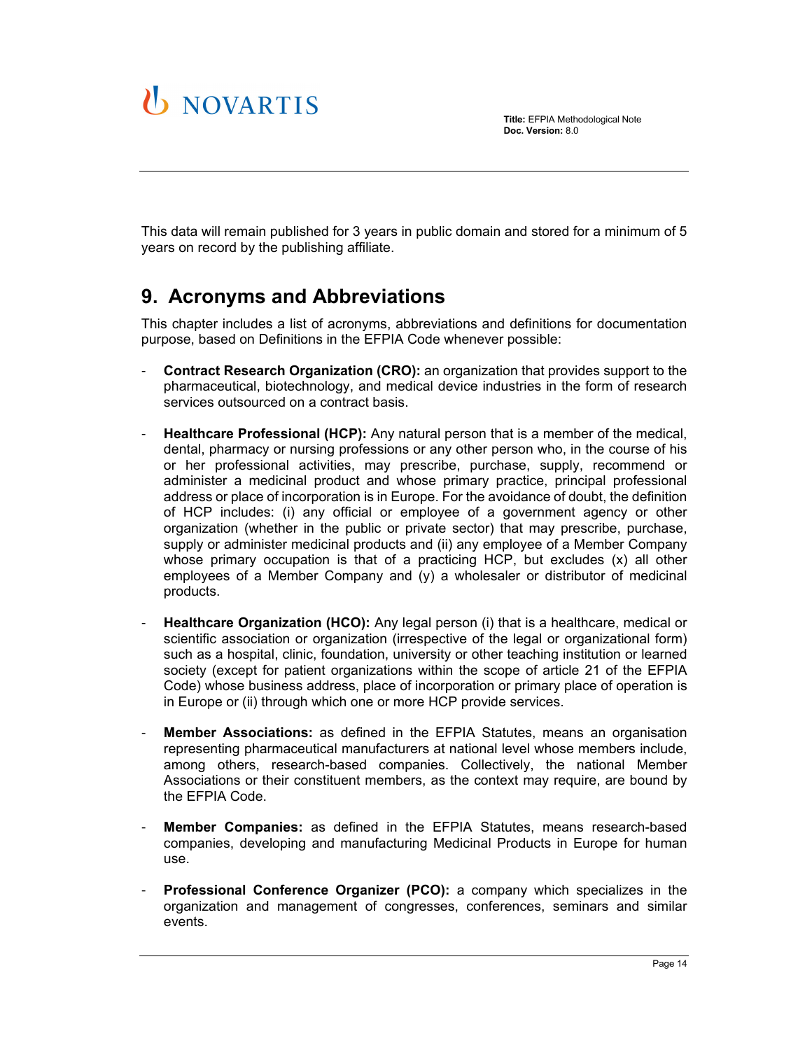



This data will remain published for 3 years in public domain and stored for a minimum of 5 years on record by the publishing affiliate.

# **9. Acronyms and Abbreviations**

This chapter includes a list of acronyms, abbreviations and definitions for documentation purpose, based on Definitions in the EFPIA Code whenever possible:

- **Contract Research Organization (CRO):** an organization that provides support to the pharmaceutical, biotechnology, and medical device industries in the form of research services outsourced on a contract basis.
- **Healthcare Professional (HCP):** Any natural person that is a member of the medical, dental, pharmacy or nursing professions or any other person who, in the course of his or her professional activities, may prescribe, purchase, supply, recommend or administer a medicinal product and whose primary practice, principal professional address or place of incorporation is in Europe. For the avoidance of doubt, the definition of HCP includes: (i) any official or employee of a government agency or other organization (whether in the public or private sector) that may prescribe, purchase, supply or administer medicinal products and (ii) any employee of a Member Company whose primary occupation is that of a practicing HCP, but excludes (x) all other employees of a Member Company and (y) a wholesaler or distributor of medicinal products.
- **Healthcare Organization (HCO):** Any legal person (i) that is a healthcare, medical or scientific association or organization (irrespective of the legal or organizational form) such as a hospital, clinic, foundation, university or other teaching institution or learned society (except for patient organizations within the scope of article 21 of the EFPIA Code) whose business address, place of incorporation or primary place of operation is in Europe or (ii) through which one or more HCP provide services.
- **Member Associations:** as defined in the EFPIA Statutes, means an organisation representing pharmaceutical manufacturers at national level whose members include, among others, research-based companies. Collectively, the national Member Associations or their constituent members, as the context may require, are bound by the EFPIA Code.
- **Member Companies:** as defined in the EFPIA Statutes, means research-based companies, developing and manufacturing Medicinal Products in Europe for human use.
- Professional Conference Organizer (PCO): a company which specializes in the organization and management of congresses, conferences, seminars and similar events.